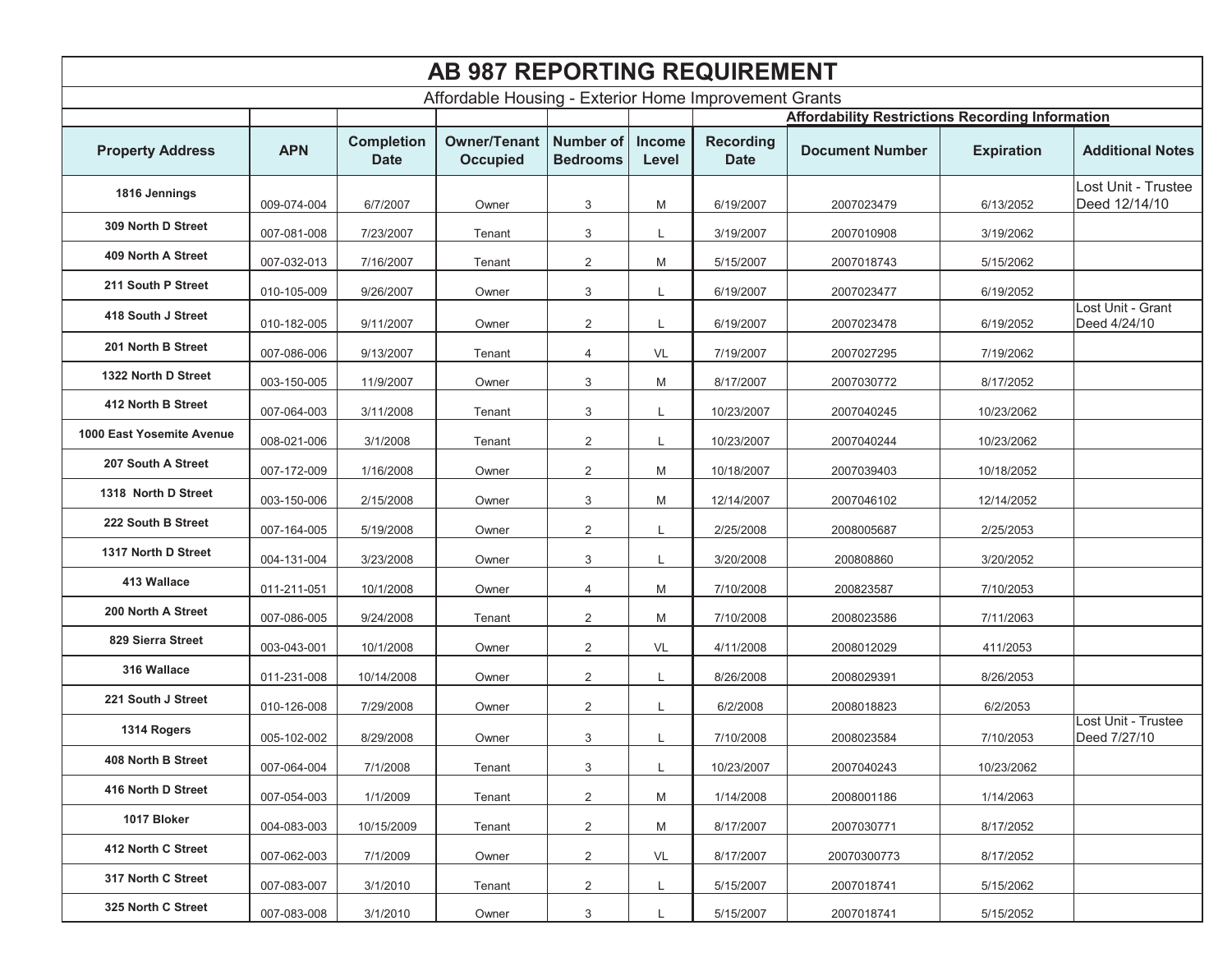| <b>AB 987 REPORTING REQUIREMENT</b>                   |             |                                  |                                        |                                     |                 |                                                         |                        |                   |                                      |  |
|-------------------------------------------------------|-------------|----------------------------------|----------------------------------------|-------------------------------------|-----------------|---------------------------------------------------------|------------------------|-------------------|--------------------------------------|--|
| Affordable Housing - Exterior Home Improvement Grants |             |                                  |                                        |                                     |                 |                                                         |                        |                   |                                      |  |
|                                                       |             |                                  |                                        |                                     |                 | <b>Affordability Restrictions Recording Information</b> |                        |                   |                                      |  |
| <b>Property Address</b>                               | <b>APN</b>  | <b>Completion</b><br><b>Date</b> | <b>Owner/Tenant</b><br><b>Occupied</b> | <b>Number of</b><br><b>Bedrooms</b> | Income<br>Level | <b>Recording</b><br><b>Date</b>                         | <b>Document Number</b> | <b>Expiration</b> | <b>Additional Notes</b>              |  |
| 1816 Jennings                                         | 009-074-004 | 6/7/2007                         | Owner                                  | 3                                   | M               | 6/19/2007                                               | 2007023479             | 6/13/2052         | Lost Unit - Trustee<br>Deed 12/14/10 |  |
| 309 North D Street                                    | 007-081-008 | 7/23/2007                        | Tenant                                 | 3                                   | L               | 3/19/2007                                               | 2007010908             | 3/19/2062         |                                      |  |
| 409 North A Street                                    | 007-032-013 | 7/16/2007                        | Tenant                                 | $\overline{2}$                      | M               | 5/15/2007                                               | 2007018743             | 5/15/2062         |                                      |  |
| 211 South P Street                                    | 010-105-009 | 9/26/2007                        | Owner                                  | 3                                   | L               | 6/19/2007                                               | 2007023477             | 6/19/2052         |                                      |  |
| 418 South J Street                                    | 010-182-005 | 9/11/2007                        | Owner                                  | $\overline{2}$                      | L               | 6/19/2007                                               | 2007023478             | 6/19/2052         | Lost Unit - Grant<br>Deed 4/24/10    |  |
| 201 North B Street                                    | 007-086-006 | 9/13/2007                        | Tenant                                 | 4                                   | VL              | 7/19/2007                                               | 2007027295             | 7/19/2062         |                                      |  |
| 1322 North D Street                                   | 003-150-005 | 11/9/2007                        | Owner                                  | 3                                   | M               | 8/17/2007                                               | 2007030772             | 8/17/2052         |                                      |  |
| 412 North B Street                                    | 007-064-003 | 3/11/2008                        | Tenant                                 | 3                                   | L               | 10/23/2007                                              | 2007040245             | 10/23/2062        |                                      |  |
| 1000 East Yosemite Avenue                             | 008-021-006 | 3/1/2008                         | Tenant                                 | 2                                   | L               | 10/23/2007                                              | 2007040244             | 10/23/2062        |                                      |  |
| 207 South A Street                                    | 007-172-009 | 1/16/2008                        | Owner                                  | 2                                   | M               | 10/18/2007                                              | 2007039403             | 10/18/2052        |                                      |  |
| 1318 North D Street                                   | 003-150-006 | 2/15/2008                        | Owner                                  | 3                                   | M               | 12/14/2007                                              | 2007046102             | 12/14/2052        |                                      |  |
| 222 South B Street                                    | 007-164-005 | 5/19/2008                        | Owner                                  | $\overline{2}$                      | L               | 2/25/2008                                               | 2008005687             | 2/25/2053         |                                      |  |
| 1317 North D Street                                   | 004-131-004 | 3/23/2008                        | Owner                                  | 3                                   | L               | 3/20/2008                                               | 200808860              | 3/20/2052         |                                      |  |
| 413 Wallace                                           | 011-211-051 | 10/1/2008                        | Owner                                  | 4                                   | M               | 7/10/2008                                               | 200823587              | 7/10/2053         |                                      |  |
| 200 North A Street                                    | 007-086-005 | 9/24/2008                        | Tenant                                 | 2                                   | M               | 7/10/2008                                               | 2008023586             | 7/11/2063         |                                      |  |
| 829 Sierra Street                                     | 003-043-001 | 10/1/2008                        | Owner                                  | 2                                   | VL              | 4/11/2008                                               | 2008012029             | 411/2053          |                                      |  |
| 316 Wallace                                           | 011-231-008 | 10/14/2008                       | Owner                                  | 2                                   | L               | 8/26/2008                                               | 2008029391             | 8/26/2053         |                                      |  |
| 221 South J Street                                    | 010-126-008 | 7/29/2008                        | Owner                                  | 2                                   | L               | 6/2/2008                                                | 2008018823             | 6/2/2053          |                                      |  |
| 1314 Rogers                                           | 005-102-002 | 8/29/2008                        | Owner                                  | 3                                   | L               | 7/10/2008                                               | 2008023584             | 7/10/2053         | Lost Unit - Trustee<br>Deed 7/27/10  |  |
| 408 North B Street                                    | 007-064-004 | 7/1/2008                         | Tenant                                 | 3                                   | L               | 10/23/2007                                              | 2007040243             | 10/23/2062        |                                      |  |
| 416 North D Street                                    | 007-054-003 | 1/1/2009                         | Tenant                                 | $\overline{2}$                      | M               | 1/14/2008                                               | 2008001186             | 1/14/2063         |                                      |  |
| 1017 Bloker                                           | 004-083-003 | 10/15/2009                       | Tenant                                 | $\overline{2}$                      | M               | 8/17/2007                                               | 2007030771             | 8/17/2052         |                                      |  |
| 412 North C Street                                    | 007-062-003 | 7/1/2009                         | Owner                                  | $\overline{2}$                      | VL              | 8/17/2007                                               | 20070300773            | 8/17/2052         |                                      |  |
| 317 North C Street                                    | 007-083-007 | 3/1/2010                         | Tenant                                 | $\overline{2}$                      | L               | 5/15/2007                                               | 2007018741             | 5/15/2062         |                                      |  |
| 325 North C Street                                    | 007-083-008 | 3/1/2010                         | Owner                                  | 3                                   | L               | 5/15/2007                                               | 2007018741             | 5/15/2052         |                                      |  |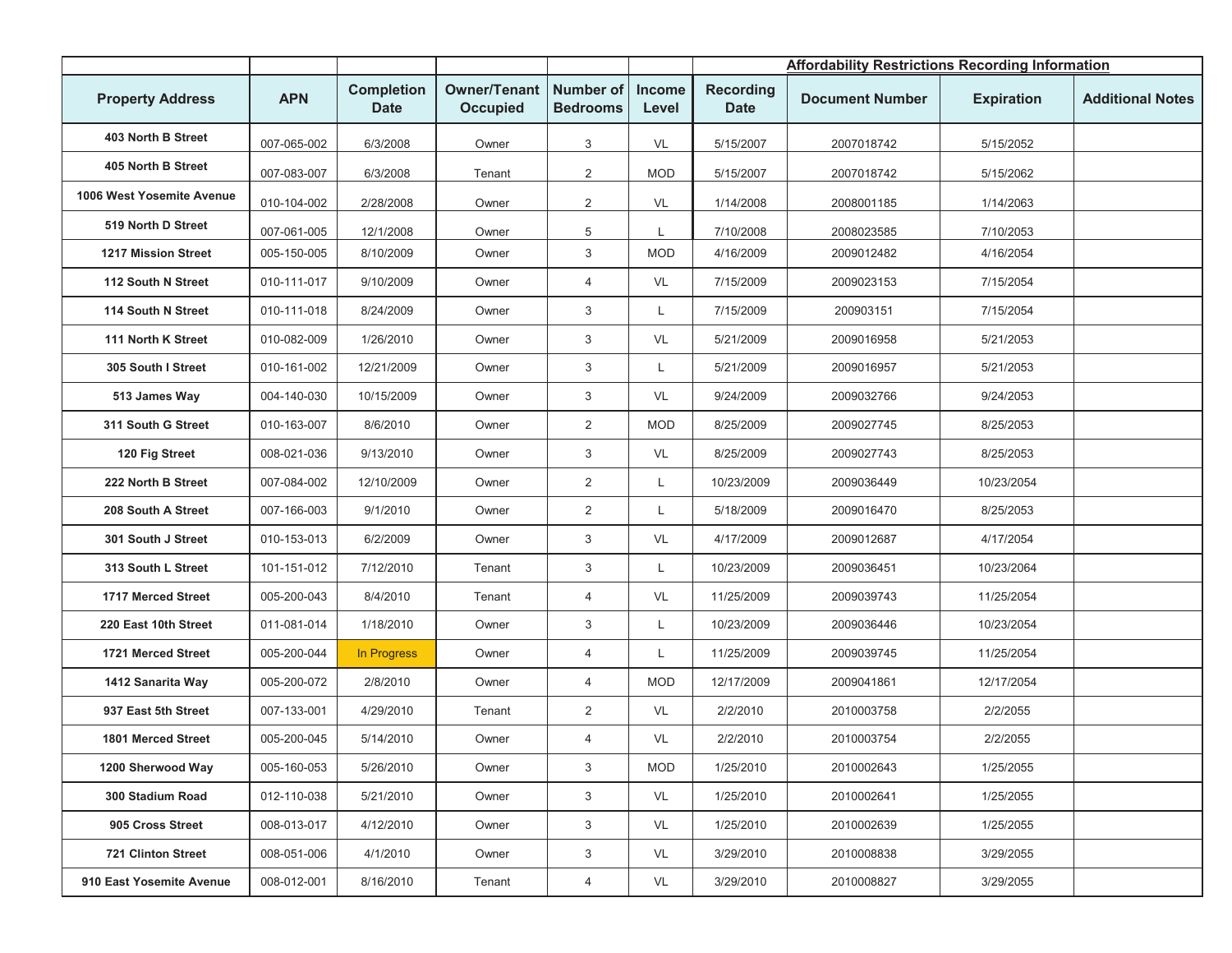|                            |             |                                  |                                        |                                     |                        | <b>Affordability Restrictions Recording Information</b> |                        |                   |                         |
|----------------------------|-------------|----------------------------------|----------------------------------------|-------------------------------------|------------------------|---------------------------------------------------------|------------------------|-------------------|-------------------------|
| <b>Property Address</b>    | <b>APN</b>  | <b>Completion</b><br><b>Date</b> | <b>Owner/Tenant</b><br><b>Occupied</b> | <b>Number of</b><br><b>Bedrooms</b> | <b>Income</b><br>Level | <b>Recording</b><br><b>Date</b>                         | <b>Document Number</b> | <b>Expiration</b> | <b>Additional Notes</b> |
| 403 North B Street         | 007-065-002 | 6/3/2008                         | Owner                                  | 3                                   | VL                     | 5/15/2007                                               | 2007018742             | 5/15/2052         |                         |
| 405 North B Street         | 007-083-007 | 6/3/2008                         | Tenant                                 | $\overline{2}$                      | <b>MOD</b>             | 5/15/2007                                               | 2007018742             | 5/15/2062         |                         |
| 1006 West Yosemite Avenue  | 010-104-002 | 2/28/2008                        | Owner                                  | $\overline{2}$                      | VL                     | 1/14/2008                                               | 2008001185             | 1/14/2063         |                         |
| 519 North D Street         | 007-061-005 | 12/1/2008                        | Owner                                  | 5                                   |                        | 7/10/2008                                               | 2008023585             | 7/10/2053         |                         |
| <b>1217 Mission Street</b> | 005-150-005 | 8/10/2009                        | Owner                                  | 3                                   | <b>MOD</b>             | 4/16/2009                                               | 2009012482             | 4/16/2054         |                         |
| 112 South N Street         | 010-111-017 | 9/10/2009                        | Owner                                  | 4                                   | VL                     | 7/15/2009                                               | 2009023153             | 7/15/2054         |                         |
| 114 South N Street         | 010-111-018 | 8/24/2009                        | Owner                                  | 3                                   | L.                     | 7/15/2009                                               | 200903151              | 7/15/2054         |                         |
| 111 North K Street         | 010-082-009 | 1/26/2010                        | Owner                                  | 3                                   | VL                     | 5/21/2009                                               | 2009016958             | 5/21/2053         |                         |
| 305 South I Street         | 010-161-002 | 12/21/2009                       | Owner                                  | 3                                   | $\mathsf{L}$           | 5/21/2009                                               | 2009016957             | 5/21/2053         |                         |
| 513 James Way              | 004-140-030 | 10/15/2009                       | Owner                                  | 3                                   | VL                     | 9/24/2009                                               | 2009032766             | 9/24/2053         |                         |
| 311 South G Street         | 010-163-007 | 8/6/2010                         | Owner                                  | $\overline{a}$                      | <b>MOD</b>             | 8/25/2009                                               | 2009027745             | 8/25/2053         |                         |
| 120 Fig Street             | 008-021-036 | 9/13/2010                        | Owner                                  | 3                                   | VL                     | 8/25/2009                                               | 2009027743             | 8/25/2053         |                         |
| 222 North B Street         | 007-084-002 | 12/10/2009                       | Owner                                  | $\overline{2}$                      | L                      | 10/23/2009                                              | 2009036449             | 10/23/2054        |                         |
| 208 South A Street         | 007-166-003 | 9/1/2010                         | Owner                                  | $\overline{2}$                      | L                      | 5/18/2009                                               | 2009016470             | 8/25/2053         |                         |
| 301 South J Street         | 010-153-013 | 6/2/2009                         | Owner                                  | 3                                   | VL                     | 4/17/2009                                               | 2009012687             | 4/17/2054         |                         |
| 313 South L Street         | 101-151-012 | 7/12/2010                        | Tenant                                 | 3                                   | L                      | 10/23/2009                                              | 2009036451             | 10/23/2064        |                         |
| 1717 Merced Street         | 005-200-043 | 8/4/2010                         | Tenant                                 | 4                                   | VL                     | 11/25/2009                                              | 2009039743             | 11/25/2054        |                         |
| 220 East 10th Street       | 011-081-014 | 1/18/2010                        | Owner                                  | 3                                   | L                      | 10/23/2009                                              | 2009036446             | 10/23/2054        |                         |
| 1721 Merced Street         | 005-200-044 | In Progress                      | Owner                                  | 4                                   | L                      | 11/25/2009                                              | 2009039745             | 11/25/2054        |                         |
| 1412 Sanarita Way          | 005-200-072 | 2/8/2010                         | Owner                                  | 4                                   | <b>MOD</b>             | 12/17/2009                                              | 2009041861             | 12/17/2054        |                         |
| 937 East 5th Street        | 007-133-001 | 4/29/2010                        | Tenant                                 | $\overline{2}$                      | VL                     | 2/2/2010                                                | 2010003758             | 2/2/2055          |                         |
| 1801 Merced Street         | 005-200-045 | 5/14/2010                        | Owner                                  | 4                                   | VL                     | 2/2/2010                                                | 2010003754             | 2/2/2055          |                         |
| 1200 Sherwood Way          | 005-160-053 | 5/26/2010                        | Owner                                  | 3                                   | <b>MOD</b>             | 1/25/2010                                               | 2010002643             | 1/25/2055         |                         |
| 300 Stadium Road           | 012-110-038 | 5/21/2010                        | Owner                                  | 3                                   | VL                     | 1/25/2010                                               | 2010002641             | 1/25/2055         |                         |
| 905 Cross Street           | 008-013-017 | 4/12/2010                        | Owner                                  | 3                                   | VL                     | 1/25/2010                                               | 2010002639             | 1/25/2055         |                         |
| <b>721 Clinton Street</b>  | 008-051-006 | 4/1/2010                         | Owner                                  | $\mathbf{3}$                        | VL                     | 3/29/2010                                               | 2010008838             | 3/29/2055         |                         |
| 910 East Yosemite Avenue   | 008-012-001 | 8/16/2010                        | Tenant                                 | 4                                   | VL                     | 3/29/2010                                               | 2010008827             | 3/29/2055         |                         |